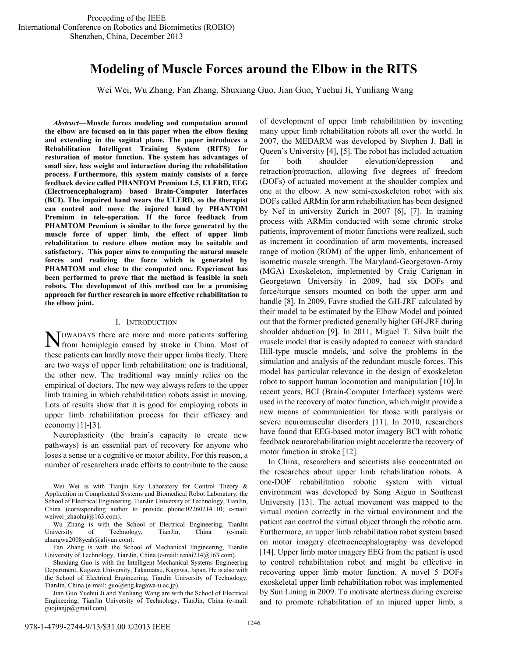# **Modeling of Muscle Forces around the Elbow in the RITS**

Wei Wei, Wu Zhang, Fan Zhang, Shuxiang Guo, Jian Guo, Yuehui Ji, Yunliang Wang

*Abstract***—Muscle forces modeling and computation around the elbow are focused on in this paper when the elbow flexing and extending in the sagittal plane. The paper introduces a Rehabilitation Intelligent Training System (RITS) for restoration of motor function. The system has advantages of small size, less weight and interaction during the rehabilitation process. Furthermore, this system mainly consists of a force feedback device called PHANTOM Premium 1.5, ULERD, EEG (Electroencephalogram) based Brain-Computer Interfaces (BCI). The impaired hand wears the ULERD, so the therapist can control and move the injured hand by PHANTOM Premium in tele-operation. If the force feedback from PHAMTOM Premium is similar to the force generated by the muscle force of upper limb, the effect of upper limb rehabilitation to restore elbow motion may be suitable and satisfactory. This paper aims to computing the natural muscle forces and realizing the force which is generated by PHAMTOM and close to the computed one. Experiment has been performed to prove that the method is feasible in such robots. The development of this method can be a promising approach for further research in more effective rehabilitation to the elbow joint.** 

#### I. INTRODUCTION

OWADAYS there are more and more patients suffering NOWADAYS there are more and more patients suffering<br>from hemiplegia caused by stroke in China. Most of these patients can hardly move their upper limbs freely. There are two ways of upper limb rehabilitation: one is traditional, the other new. The traditional way mainly relies on the empirical of doctors. The new way always refers to the upper limb training in which rehabilitation robots assist in moving. Lots of results show that it is good for employing robots in upper limb rehabilitation process for their efficacy and economy [1]-[3].

Neuroplasticity (the brain's capacity to create new pathways) is an essential part of recovery for anyone who loses a sense or a cognitive or motor ability. For this reason, a number of researchers made efforts to contribute to the cause

Jian Guo Yuehui Ji and Yunliang Wang are with the School of Electrical Engineering, TianJin University of Technology, TianJin, China (e-mail: guojianjp@gmail.com).

of development of upper limb rehabilitation by inventing many upper limb rehabilitation robots all over the world. In 2007, the MEDARM was developed by Stephen J. Ball in Queen's University [4], [5]. The robot has included actuation for both shoulder elevation/depression and retraction/protraction, allowing five degrees of freedom (DOFs) of actuated movement at the shoulder complex and one at the elbow. A new semi-exoskeleton robot with six DOFs called ARMin for arm rehabilitation has been designed by Nef in university Zurich in 2007 [6], [7]. In training process with ARMin conducted with some chronic stroke patients, improvement of motor functions were realized, such as increment in coordination of arm movements, increased range of motion (ROM) of the upper limb, enhancement of isometric muscle strength. The Maryland-Georgetown-Army (MGA) Exoskeleton, implemented by Craig Carignan in Georgetown University in 2009, had six DOFs and force/torque sensors mounted on both the upper arm and handle [8]. In 2009, Favre studied the GH-JRF calculated by their model to be estimated by the Elbow Model and pointed out that the former predicted generally higher GH-JRF during shoulder abduction [9]. In 2011, Miguel T. Silva built the muscle model that is easily adapted to connect with standard Hill-type muscle models, and solve the problems in the simulation and analysis of the redundant muscle forces. This model has particular relevance in the design of exoskeleton robot to support human locomotion and manipulation [10].In recent years, BCI (Brain-Computer Interface) systems were used in the recovery of motor function, which might provide a new means of communication for those with paralysis or severe neuromuscular disorders [11]. In 2010, researchers have found that EEG-based motor imagery BCI with robotic feedback neurorehabilitation might accelerate the recovery of motor function in stroke [12].

In China, researchers and scientists also concentrated on the researches about upper limb rehabilitation robots. A one-DOF rehabilitation robotic system with virtual environment was developed by Song Aiguo in Southeast University [13]. The actual movement was mapped to the virtual motion correctly in the virtual environment and the patient can control the virtual object through the robotic arm. Furthermore, an upper limb rehabilitation robot system based on motor imagery electroencephalography was developed [14]. Upper limb motor imagery EEG from the patient is used to control rehabilitation robot and might be effective in recovering upper limb motor function. A novel 5 DOFs exoskeletal upper limb rehabilitation robot was implemented by Sun Lining in 2009. To motivate alertness during exercise and to promote rehabilitation of an injured upper limb, a

Wei Wei is with Tianjin Key Laboratory for Control Theory & Application in Complicated Systems and Biomedical Robot Laboratory, the School of Electrical Engineering, TianJin University of Technology, TianJin, China (corresponding author to provide phone:02260214110; e-mail: weiwei\_zhaohui@163.com).

Wu Zhang is with the School of Electrical Engineering, TianJin University of Technology, TianJin, China (e-mail: zhangwu2008yeah@aliyun.com).

Fan Zhang is with the School of Mechanical Engineering, TianJin University of Technology, TianJin, China (e-mail: renai214@163.com).

Shuxiang Guo is with the Intelligent Mechanical Systems Engineering Department, Kagawa University, Takamatsu, Kagawa, Japan. He is also with the School of Electrical Engineering, TianJin University of Technology, TianJin, China (e-mail: guo@eng.kagawa-u.ac.jp).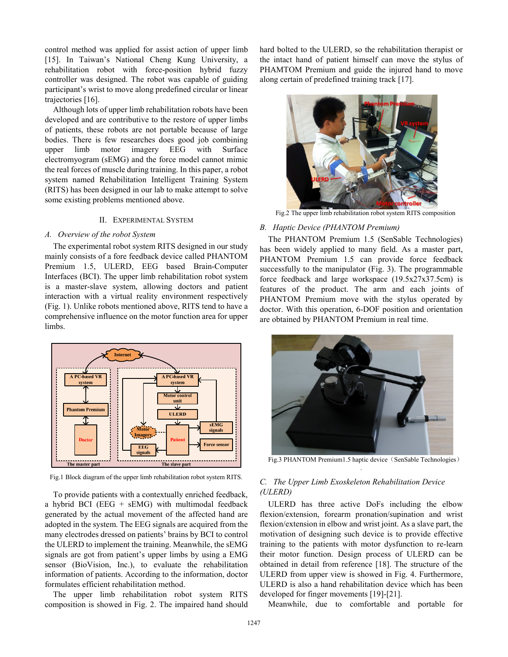control method was applied for assist action of upper limb [15]. In Taiwan's National Cheng Kung University, a rehabilitation robot with force-position hybrid fuzzy controller was designed. The robot was capable of guiding participant's wrist to move along predefined circular or linear trajectories [16].

Although lots of upper limb rehabilitation robots have been developed and are contributive to the restore of upper limbs of patients, these robots are not portable because of large bodies. There is few researches does good job combining upper limb motor imagery EEG with Surface electromyogram (sEMG) and the force model cannot mimic the real forces of muscle during training. In this paper, a robot system named Rehabilitation Intelligent Training System (RITS) has been designed in our lab to make attempt to solve some existing problems mentioned above.

# II. EXPERIMENTAL SYSTEM

#### *A. Overview of the robot System*

The experimental robot system RITS designed in our study mainly consists of a fore feedback device called PHANTOM Premium 1.5, ULERD, EEG based Brain-Computer Interfaces (BCI). The upper limb rehabilitation robot system is a master-slave system, allowing doctors and patient interaction with a virtual reality environment respectively (Fig. 1). Unlike robots mentioned above, RITS tend to have a comprehensive influence on the motor function area for upper limbs.



Fig.1 Block diagram of the upper limb rehabilitation robot system RITS.

To provide patients with a contextually enriched feedback, a hybrid BCI ( $EEG + sEMG$ ) with multimodal feedback generated by the actual movement of the affected hand are adopted in the system. The EEG signals are acquired from the many electrodes dressed on patients' brains by BCI to control the ULERD to implement the training. Meanwhile, the sEMG signals are got from patient's upper limbs by using a EMG sensor (BioVision, Inc.), to evaluate the rehabilitation information of patients. According to the information, doctor formulates efficient rehabilitation method.

The upper limb rehabilitation robot system RITS composition is showed in Fig. 2. The impaired hand should hard bolted to the ULERD, so the rehabilitation therapist or the intact hand of patient himself can move the stylus of PHAMTOM Premium and guide the injured hand to move along certain of predefined training track [17].



Fig.2 The upper limb rehabilitation robot system RITS composition

#### *B. Haptic Device (PHANTOM Premium)*

The PHANTOM Premium 1.5 (SenSable Technologies) has been widely applied to many field. As a master part, PHANTOM Premium 1.5 can provide force feedback successfully to the manipulator (Fig. 3). The programmable force feedback and large workspace (19.5x27x37.5cm) is features of the product. The arm and each joints of PHANTOM Premium move with the stylus operated by doctor. With this operation, 6-DOF position and orientation are obtained by PHANTOM Premium in real time.



Fig.3 PHANTOM Premium1.5 haptic device (SenSable Technologies) .

# *C. The Upper Limb Exoskeleton Rehabilitation Device (ULERD)*

ULERD has three active DoFs including the elbow flexion/extension, forearm pronation/supination and wrist flexion/extension in elbow and wrist joint. As a slave part, the motivation of designing such device is to provide effective training to the patients with motor dysfunction to re-learn their motor function. Design process of ULERD can be obtained in detail from reference [18]. The structure of the ULERD from upper view is showed in Fig. 4. Furthermore, ULERD is also a hand rehabilitation device which has been developed for finger movements [19]-[21].

Meanwhile, due to comfortable and portable for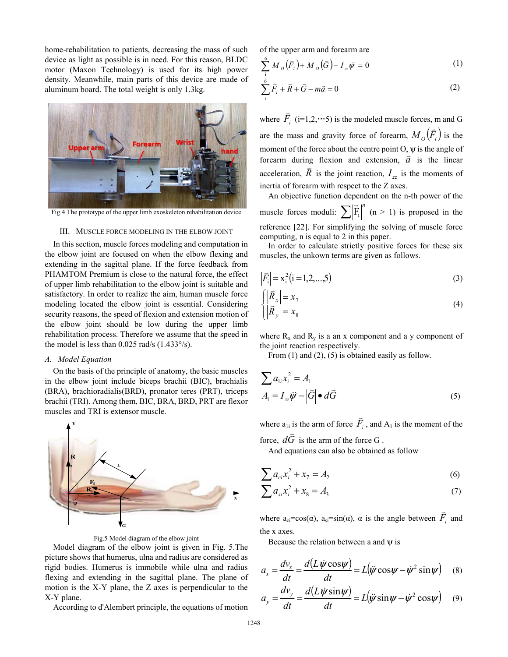home-rehabilitation to patients, decreasing the mass of such device as light as possible is in need. For this reason, BLDC motor (Maxon Technology) is used for its high power density. Meanwhile, main parts of this device are made of aluminum board. The total weight is only 1.3kg.



Fig.4 The prototype of the upper limb exoskeleton rehabilitation device

## III. MUSCLE FORCE MODELING IN THE ELBOW JOINT

In this section, muscle forces modeling and computation in the elbow joint are focused on when the elbow flexing and extending in the sagittal plane. If the force feedback from PHAMTOM Premium is close to the natural force, the effect of upper limb rehabilitation to the elbow joint is suitable and satisfactory. In order to realize the aim, human muscle force modeling located the elbow joint is essential. Considering security reasons, the speed of flexion and extension motion of the elbow joint should be low during the upper limb rehabilitation process. Therefore we assume that the speed in the model is less than  $0.025$  rad/s  $(1.433\degree/s)$ .

#### *A. Model Equation*

On the basis of the principle of anatomy, the basic muscles in the elbow joint include biceps brachii (BIC), brachialis (BRA), brachioradialis(BRD), pronator teres (PRT), triceps brachii (TRI). Among them, BIC, BRA, BRD, PRT are flexor muscles and TRI is extensor muscle.



Fig.5 Model diagram of the elbow joint

Model diagram of the elbow joint is given in Fig. 5.The picture shows that humerus, ulna and radius are considered as rigid bodies. Humerus is immobile while ulna and radius flexing and extending in the sagittal plane. The plane of motion is the X-Y plane, the Z axes is perpendicular to the X-Y plane.

According to d'Alembert principle, the equations of motion

of the upper arm and forearm are

$$
\sum_{i}^{6} M_{o} (\vec{F}_{i}) + M_{o} (\vec{G}) - I_{zz} \vec{\psi} = 0
$$
 (1)

$$
\sum_{i}^{6} \vec{F}_i + \vec{R} + \vec{G} - m\vec{a} = 0
$$
\n(2)

where  $F_i$  $\overline{a}$  $(i=1,2,\dots,5)$  is the modeled muscle forces, m and G are the mass and gravity force of forearm,  $M_O(\vec{F}_i)$  is the moment of the force about the centre point O,  $\psi$  is the angle of forearm during flexion and extension,  $\vec{a}$  is the linear  $\vec{a}$ acceleration,  $\hat{R}$  is the joint reaction,  $I_{zz}$  is the moments of inertia of forearm with respect to the Z axes.

An objective function dependent on the n-th power of the muscle forces moduli:  $\sum \left| \vec{F}_i \right|^n$  $\tilde{a}$  $(n > 1)$  is proposed in the reference [22]. For simplifying the solving of muscle force computing, n is equal to 2 in this paper.

In order to calculate strictly positive forces for these six muscles, the unkown terms are given as follows.

$$
\left|\vec{F}_{i}\right| = x_{i}^{2} (i = 1, 2, \dots, 5)
$$
\n(3)

$$
\begin{cases}\n|\vec{R}_x| = x_7 \\
|\vec{R}_y| = x_8\n\end{cases}
$$
\n(4)

where  $R_x$  and  $R_y$  is a an x component and a y component of the joint reaction respectively.

From (1) and (2), (5) is obtained easily as follow.

$$
\sum a_{1i} x_i^2 = A_1
$$
  

$$
A_1 = I_{zz} \ddot{\psi} - |\vec{G}| \bullet d\vec{G}
$$
 (5)

where  $a_{1i}$  is the arm of force  $\bar{F}_i$  $\overline{a}$ , and  $A_1$  is the moment of the K

force, *dG* is the arm of the force G .

And equations can also be obtained as follow

$$
\sum a_{ci} x_i^2 + x_7 = A_2 \tag{6}
$$

$$
\sum a_{si} x_i^2 + x_8 = A_3 \tag{7}
$$

where  $a_{ci} = cos(\alpha)$ ,  $a_{si} = sin(\alpha)$ ,  $\alpha$  is the angle between  $F_i$  $\overline{a}$  and the x axes.

Because the relation between a and  $\psi$  is

$$
a_x = \frac{dv_x}{dt} = \frac{d(L\dot{\psi}\cos\psi)}{dt} = L(\dot{\psi}\cos\psi - \dot{\psi}^2\sin\psi)
$$
 (8)

$$
a_y = \frac{dv_y}{dt} = \frac{d(L\dot{\psi}\sin\psi)}{dt} = L(\ddot{\psi}\sin\psi - \dot{\psi}^2\cos\psi) \quad (9)
$$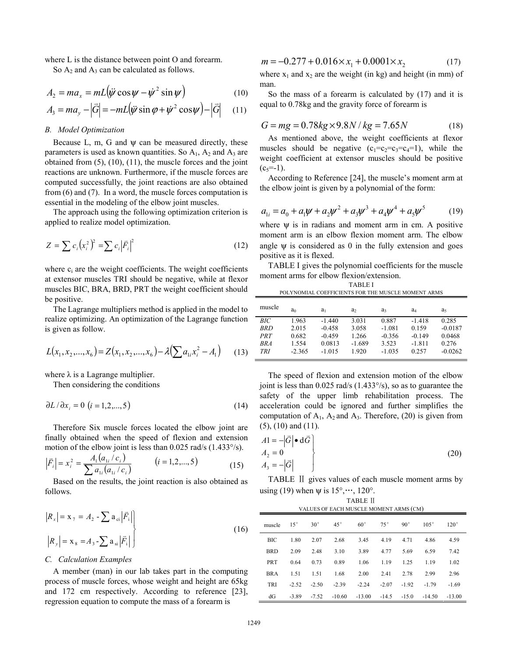where L is the distance between point O and forearm.

So  $A_2$  and  $A_3$  can be calculated as follows.

$$
A_2 = ma_x = mL(\ddot{\psi}\cos\psi - \dot{\psi}^2\sin\psi)
$$
 (10)

$$
A_3 = ma_y - |\vec{G}| = -mL(\vec{\psi}\sin\varphi + \vec{\psi}^2\cos\psi) - |\vec{G}| \qquad (11)
$$

# *B. Model Optimization*

Because L, m, G and  $\psi$  can be measured directly, these parameters is used as known quantities. So  $A_1$ ,  $A_2$  and  $A_3$  are obtained from (5), (10), (11), the muscle forces and the joint reactions are unknown. Furthermore, if the muscle forces are computed successfully, the joint reactions are also obtained from (6) and (7). In a word, the muscle forces computation is essential in the modeling of the elbow joint muscles.

The approach using the following optimization criterion is applied to realize model optimization.

$$
Z = \sum c_i (x_i^2)^2 = \sum c_i |\vec{F}_i|^2
$$
 (12)

where  $c_i$  are the weight coefficients. The weight coefficients at extensor muscles TRI should be negative, while at flexor muscles BIC, BRA, BRD, PRT the weight coefficient should be positive.

The Lagrange multipliers method is applied in the model to realize optimizing. An optimization of the Lagrange function is given as follow.

$$
L(x_1, x_2, ..., x_6) = Z(x_1, x_2, ..., x_6) - \lambda \left(\sum a_{1i} x_i^2 - A_1\right)
$$
 (13)

where  $\lambda$  is a Lagrange multiplier.

Then considering the conditions

$$
\partial L / \partial x_i = 0 \quad (i = 1, 2, ..., 5)
$$
 (14)

Therefore Six muscle forces located the elbow joint are finally obtained when the speed of flexion and extension motion of the elbow joint is less than 0.025 rad/s (1.433°/s).

$$
\left|\vec{F}_i\right| = x_i^2 = \frac{A_1(a_{1i}/c_i)}{\sum a_{1i}(a_{1i}/c_i)} \qquad (i = 1, 2, ..., 5)
$$
 (15)

 Based on the results, the joint reaction is also obtained as follows.

$$
|R_x| = \mathbf{x}_7 = A_2 - \sum \mathbf{a}_{\text{ci}} |\vec{F}_i|
$$
  

$$
|R_y| = \mathbf{x}_8 = A_3 - \sum \mathbf{a}_{\text{si}} |\vec{F}_i|
$$
 (16)

#### *C. Calculation Examples*

A member (man) in our lab takes part in the computing process of muscle forces, whose weight and height are 65kg and 172 cm respectively. According to reference [23], regression equation to compute the mass of a forearm is

$$
m = -0.277 + 0.016 \times x_1 + 0.0001 \times x_2 \tag{17}
$$

where  $x_1$  and  $x_2$  are the weight (in kg) and height (in mm) of man.

So the mass of a forearm is calculated by (17) and it is equal to 0.78kg and the gravity force of forearm is

$$
G = mg = 0.78kg \times 9.8N / kg = 7.65N
$$
 (18)

As mentioned above, the weight coefficients at flexor muscles should be negative  $(c_1=c_2=c_3=c_4=1)$ , while the weight coefficient at extensor muscles should be positive  $(c_5=1)$ .

According to Reference [24], the muscle's moment arm at the elbow joint is given by a polynomial of the form:

$$
a_{1i} = a_0 + a_1 \psi + a_2 \psi^2 + a_3 \psi^3 + a_4 \psi^4 + a_5 \psi^5 \tag{19}
$$

where  $\Psi$  is in radians and moment arm in cm. A positive moment arm is an elbow flexion moment arm. The elbow angle  $\psi$  is considered as 0 in the fully extension and goes positive as it is flexed.

TABLE I gives the polynomial coefficients for the muscle moment arms for elbow flexion/extension. TABLE I

| POLYNOMIAL COEFFICIENTS FOR THE MUSCLE MOMENT ARMS |                                              |                                                        |                                              |                                                    |                                                    |                                                    |  |  |
|----------------------------------------------------|----------------------------------------------|--------------------------------------------------------|----------------------------------------------|----------------------------------------------------|----------------------------------------------------|----------------------------------------------------|--|--|
| muscle                                             | a <sub>0</sub>                               | $a_1$                                                  | a <sub>2</sub>                               | a                                                  | a4                                                 | a,                                                 |  |  |
| BIC<br><b>BRD</b><br>PRT<br>RRA<br><b>TRI</b>      | 1.963<br>2.015<br>0.682<br>1.554<br>$-2.365$ | $-1.440$<br>$-0.458$<br>$-0.459$<br>0.0813<br>$-1.015$ | 3.031<br>3.058<br>1.266<br>$-1.689$<br>1.920 | 0.887<br>$-1.081$<br>$-0.356$<br>3.523<br>$-1.035$ | $-1.418$<br>0.159<br>$-0.149$<br>$-1.811$<br>0.257 | 0.285<br>$-0.0187$<br>0.0468<br>0.276<br>$-0.0262$ |  |  |

The speed of flexion and extension motion of the elbow joint is less than 0.025 rad/s (1.433°/s), so as to guarantee the safety of the upper limb rehabilitation process. The acceleration could be ignored and further simplifies the computation of  $A_1$ ,  $A_2$  and  $A_3$ . Therefore, (20) is given from (5), (10) and (11).

$$
A1 = -|\vec{G}| \bullet d\vec{G}
$$
  
\n
$$
A_2 = 0
$$
  
\n
$$
A_3 = -|\vec{G}|
$$
\n(20)

TABLE Ⅱ gives values of each muscle moment arms by using (19) when  $\psi$  is 15°,…, 120°.

| <b>TABLE II</b><br>VALUES OF EACH MUSCLE MOMENT ARMS (CM) |              |              |              |              |              |              |             |             |
|-----------------------------------------------------------|--------------|--------------|--------------|--------------|--------------|--------------|-------------|-------------|
| muscle                                                    | $15^{\circ}$ | $30^{\circ}$ | $45^{\circ}$ | $60^{\circ}$ | $75^{\circ}$ | $90^{\circ}$ | $105^\circ$ | $120^\circ$ |
| <b>BIC</b>                                                | 1.80         | 2.07         | 2.68         | 3.45         | 4.19         | 4.71         | 4.86        | 4.59        |
| <b>BRD</b>                                                | 2.09         | 2.48         | 3.10         | 3.89         | 4.77         | 5.69         | 6.59        | 7.42        |
| <b>PRT</b>                                                | 0.64         | 0.73         | 0.89         | 1.06         | 1.19         | 1.25         | 1.19        | 1.02        |
| <b>BRA</b>                                                | 1.51         | 1.51         | 1.68         | 2.00         | 2.41         | 2.78         | 2.99        | 2.96        |
| <b>TRI</b>                                                | $-2.52$      | $-2.50$      | $-2.39$      | $-2.24$      | $-2.07$      | $-1.92$      | $-1.79$     | $-1.69$     |
| dG                                                        | $-3.89$      | $-7.52$      | $-10.60$     | $-13.00$     | $-14.5$      | $-15.0$      | $-14.50$    | $-13.00$    |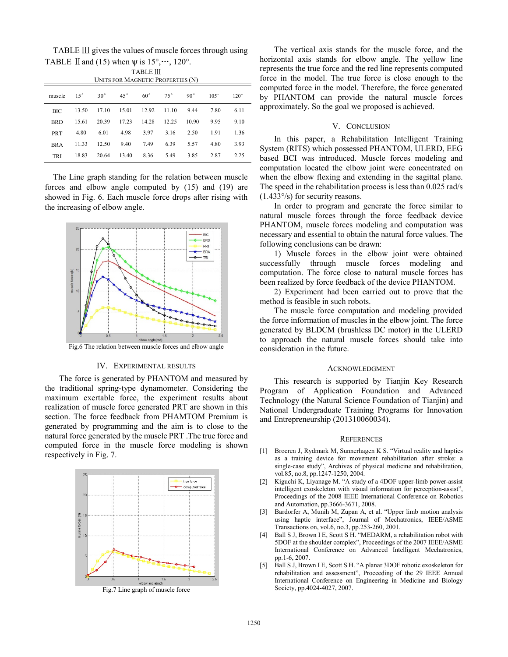TABLE Ⅲ gives the values of muscle forces through using TABLE II and (15) when  $\psi$  is 15°,…, 120°.

| <b>TABLE III</b><br>UNITS FOR MAGNETIC PROPERTIES (N) |              |              |              |              |              |              |             |             |
|-------------------------------------------------------|--------------|--------------|--------------|--------------|--------------|--------------|-------------|-------------|
| muscle                                                | $15^{\circ}$ | $30^{\circ}$ | $45^{\circ}$ | $60^{\circ}$ | $75^{\circ}$ | $90^{\circ}$ | $105^\circ$ | $120^\circ$ |
| BIC                                                   | 13.50        | 17.10        | 15.01        | 12.92        | 11.10        | 9.44         | 7.80        | 6.11        |
| <b>BRD</b>                                            | 15.61        | 20.39        | 17.23        | 14.28        | 12.25        | 10.90        | 9.95        | 9.10        |
| <b>PRT</b>                                            | 4.80         | 6.01         | 4.98         | 3.97         | 3.16         | 2.50         | 1.91        | 1.36        |
| <b>BRA</b>                                            | 11.33        | 12.50        | 9.40         | 7.49         | 6.39         | 5.57         | 4.80        | 3.93        |
| <b>TRI</b>                                            | 18.83        | 20.64        | 13.40        | 8.36         | 5.49         | 3.85         | 2.87        | 2.25        |

The Line graph standing for the relation between muscle forces and elbow angle computed by (15) and (19) are showed in Fig. 6. Each muscle force drops after rising with the increasing of elbow angle.



## IV. EXPERIMENTAL RESULTS

The force is generated by PHANTOM and measured by the traditional spring-type dynamometer. Considering the maximum exertable force, the experiment results about realization of muscle force generated PRT are shown in this section. The force feedback from PHAMTOM Premium is generated by programming and the aim is to close to the natural force generated by the muscle PRT .The true force and computed force in the muscle force modeling is shown respectively in Fig. 7.



Fig.7 Line graph of muscle force

The vertical axis stands for the muscle force, and the horizontal axis stands for elbow angle. The yellow line represents the true force and the red line represents computed force in the model. The true force is close enough to the computed force in the model. Therefore, the force generated by PHANTOM can provide the natural muscle forces approximately. So the goal we proposed is achieved.

# V. CONCLUSION

In this paper, a Rehabilitation Intelligent Training System (RITS) which possessed PHANTOM, ULERD, EEG based BCI was introduced. Muscle forces modeling and computation located the elbow joint were concentrated on when the elbow flexing and extending in the sagittal plane. The speed in the rehabilitation process is less than 0.025 rad/s (1.433°/s) for security reasons.

In order to program and generate the force similar to natural muscle forces through the force feedback device PHANTOM, muscle forces modeling and computation was necessary and essential to obtain the natural force values. The following conclusions can be drawn:

1) Muscle forces in the elbow joint were obtained successfully through muscle forces modeling and computation. The force close to natural muscle forces has been realized by force feedback of the device PHANTOM.

2) Experiment had been carried out to prove that the method is feasible in such robots.

The muscle force computation and modeling provided the force information of muscles in the elbow joint. The force generated by BLDCM (brushless DC motor) in the ULERD to approach the natural muscle forces should take into consideration in the future.

#### ACKNOWLEDGMENT

This research is supported by Tianjin Key Research Program of Application Foundation and Advanced Technology (the Natural Science Foundation of Tianjin) and National Undergraduate Training Programs for Innovation and Entrepreneurship (201310060034).

#### **REFERENCES**

- [1] Broeren J, Rydmark M, Sunnerhagen K S. "Virtual reality and haptics as a training device for movement rehabilitation after stroke: a single-case study", Archives of physical medicine and rehabilitation, vol.85, no.8, pp.1247-1250, 2004.
- [2] Kiguchi K, Liyanage M. "A study of a 4DOF upper-limb power-assist intelligent exoskeleton with visual information for perception-assist", Proceedings of the 2008 IEEE International Conference on Robotics and Automation, pp.3666-3671, 2008.
- [3] Bardorfer A, Munih M, Zupan A, et al. "Upper limb motion analysis using haptic interface", Journal of Mechatronics, IEEE/ASME Transactions on, vol.6, no.3, pp.253-260, 2001.
- [4] Ball S J, Brown I E, Scott S H. "MEDARM, a rehabilitation robot with 5DOF at the shoulder complex", Proceedings of the 2007 IEEE/ASME International Conference on Advanced Intelligent Mechatronics, pp.1-6, 2007.
- [5] Ball S J, Brown I E, Scott S H. "A planar 3DOF robotic exoskeleton for rehabilitation and assessment", Proceeding of the 29 IEEE Annual International Conference on Engineering in Medicine and Biology Society, pp.4024-4027, 2007.